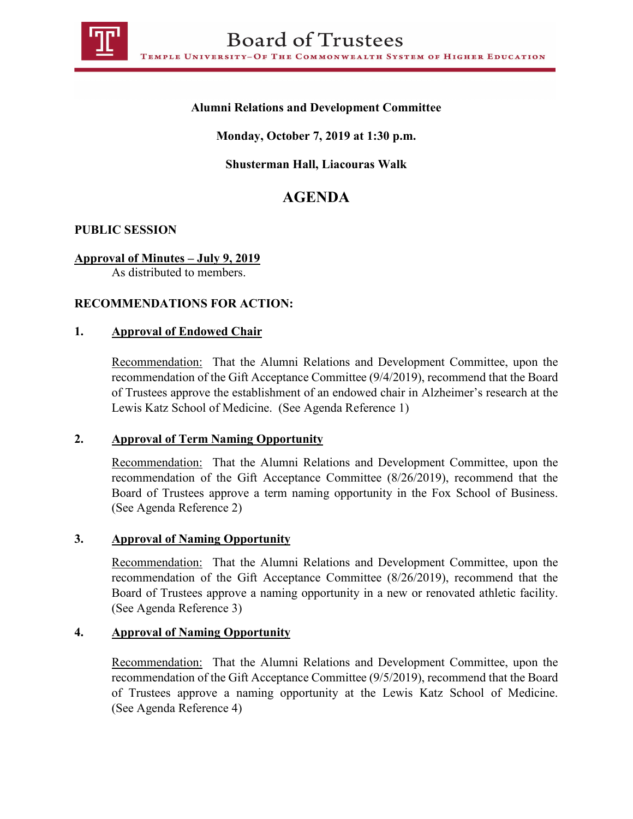

# **Alumni Relations and Development Committee**

**Monday, October 7, 2019 at 1:30 p.m.**

## **Shusterman Hall, Liacouras Walk**

# **AGENDA**

## **PUBLIC SESSION**

## **Approval of Minutes – July 9, 2019**

As distributed to members.

## **RECOMMENDATIONS FOR ACTION:**

#### **1. Approval of Endowed Chair**

Recommendation: That the Alumni Relations and Development Committee, upon the recommendation of the Gift Acceptance Committee (9/4/2019), recommend that the Board of Trustees approve the establishment of an endowed chair in Alzheimer's research at the Lewis Katz School of Medicine. (See Agenda Reference 1)

#### **2. Approval of Term Naming Opportunity**

Recommendation: That the Alumni Relations and Development Committee, upon the recommendation of the Gift Acceptance Committee (8/26/2019), recommend that the Board of Trustees approve a term naming opportunity in the Fox School of Business. (See Agenda Reference 2)

#### **3. Approval of Naming Opportunity**

Recommendation: That the Alumni Relations and Development Committee, upon the recommendation of the Gift Acceptance Committee (8/26/2019), recommend that the Board of Trustees approve a naming opportunity in a new or renovated athletic facility. (See Agenda Reference 3)

# **4. Approval of Naming Opportunity**

Recommendation: That the Alumni Relations and Development Committee, upon the recommendation of the Gift Acceptance Committee (9/5/2019), recommend that the Board of Trustees approve a naming opportunity at the Lewis Katz School of Medicine. (See Agenda Reference 4)